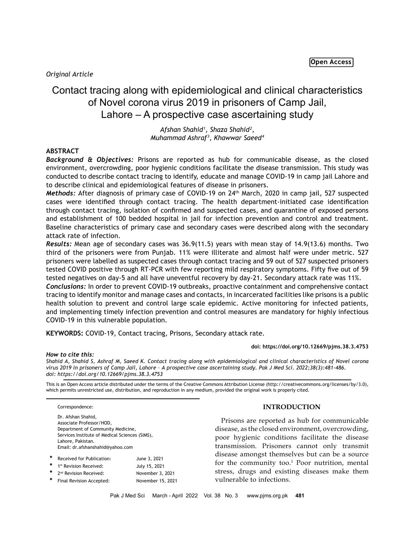# *Original Article*

# Contact tracing along with epidemiological and clinical characteristics of Novel corona virus 2019 in prisoners of Camp Jail, Lahore – A prospective case ascertaining study

*Afshan Shahid1 , Shaza Shahid2 , Muhammad Ashraf3 , Khawwar Saeed4*

# **ABSTRACT**

*Background & Objectives:* Prisons are reported as hub for communicable disease, as the closed environment, overcrowding, poor hygienic conditions facilitate the disease transmission. This study was conducted to describe contact tracing to identify, educate and manage COVID-19 in camp jail Lahore and to describe clinical and epidemiological features of disease in prisoners.

*Methods:* After diagnosis of primary case of COVID-19 on 24th March, 2020 in camp jail, 527 suspected cases were identified through contact tracing. The health department-initiated case identification through contact tracing, isolation of confirmed and suspected cases, and quarantine of exposed persons and establishment of 100 bedded hospital in jail for infection prevention and control and treatment. Baseline characteristics of primary case and secondary cases were described along with the secondary attack rate of infection.

*Results:* Mean age of secondary cases was 36.9(11.5) years with mean stay of 14.9(13.6) months. Two third of the prisoners were from Punjab. 11% were illiterate and almost half were under metric. 527 prisoners were labelled as suspected cases through contact tracing and 59 out of 527 suspected prisoners tested COVID positive through RT-PCR with few reporting mild respiratory symptoms. Fifty five out of 59 tested negatives on day-5 and all have uneventful recovery by day-21. Secondary attack rate was 11%.

*Conclusions:* In order to prevent COVID-19 outbreaks, proactive containment and comprehensive contact tracing to identify monitor and manage cases and contacts, in incarcerated facilities like prisons is a public health solution to prevent and control large scale epidemic. Active monitoring for infected patients, and implementing timely infection prevention and control measures are mandatory for highly infectious COVID-19 in this vulnerable population.

**KEYWORDS:** COVID-19, Contact tracing, Prisons, Secondary attack rate.

#### **doi: https://doi.org/10.12669/pjms.38.3.4753**

#### *How to cite this:*

*Shahid A, Shahid S, Ashraf M, Saeed K. Contact tracing along with epidemiological and clinical characteristics of Novel corona virus 2019 in prisoners of Camp Jail, Lahore – A prospective case ascertaining study. Pak J Med Sci. 2022;38(3):481-486. doi: https://doi.org/10.12669/pjms.38.3.4753*

This is an Open Access article distributed under the terms of the Creative Commons Attribution License (http://creativecommons.org/licenses/by/3.0), which permits unrestricted use, distribution, and reproduction in any medium, provided the original work is properly cited.

Correspondence:

Dr. Afshan Shahid, Associate Professor/HOD, Department of Community Medicine, Services Institute of Medical Sciences (SIMS), Lahore, Pakistan. Email: dr.afshanshahid@yahoo.com

| * | Received for Publication:            | June 3, 2021      |
|---|--------------------------------------|-------------------|
|   | 1 <sup>st</sup> Revision Received:   | July 15, 2021     |
|   | * 2 <sup>nd</sup> Revision Received: | November 3, 2021  |
| * | Final Revision Accepted:             | November 15, 2021 |
|   |                                      |                   |

## **INTRODUCTION**

Prisons are reported as hub for communicable disease, as the closed environment, overcrowding, poor hygienic conditions facilitate the disease transmission. Prisoners cannot only transmit disease amongst themselves but can be a source for the community too.<sup>1</sup> Poor nutrition, mental stress, drugs and existing diseases make them vulnerable to infections.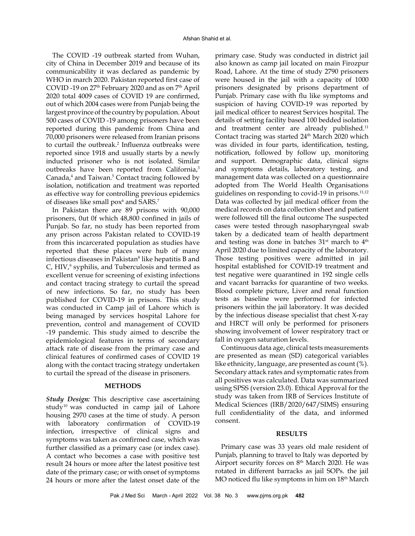The COVID -19 outbreak started from Wuhan, city of China in December 2019 and because of its communicability it was declared as pandemic by WHO in march 2020. Pakistan reported first case of COVID -19 on 27<sup>th</sup> February 2020 and as on 7<sup>th</sup> April 2020 total 4009 cases of COVID 19 are confirmed, out of which 2004 cases were from Punjab being the largest province of the country by population. About 500 cases of COVID -19 among prisoners have been reported during this pandemic from China and 70,000 prisoners were released from Iranian prisons to curtail the outbreak.<sup>2</sup> Influenza outbreaks were reported since 1918 and usually starts by a newly inducted prisoner who is not isolated. Similar outbreaks have been reported from California,3 Canada,<sup>4</sup> and Taiwan.<sup>5</sup> Contact tracing followed by isolation, notification and treatment was reported as effective way for controlling previous epidemics of diseases like small pox<sup>6</sup> and SARS.<sup>7</sup>

In Pakistan there are 89 prisons with 90,000 prisoners, 0ut 0f which 48,800 confined in jails of Punjab. So far, no study has been reported from any prison across Pakistan related to COVID-19 from this incarcerated population as studies have reported that these places were hub of many infectious diseases in Pakistan<sup>8</sup> like hepatitis B and C, HIV,<sup>9</sup> syphilis, and Tuberculosis and termed as excellent venue for screening of existing infections and contact tracing strategy to curtail the spread of new infections. So far, no study has been published for COVID-19 in prisons. This study was conducted in Camp jail of Lahore which is being managed by services hospital Lahore for prevention, control and management of COVID -19 pandemic. This study aimed to describe the epidemiological features in terms of secondary attack rate of disease from the primary case and clinical features of confirmed cases of COVID 19 along with the contact tracing strategy undertaken to curtail the spread of the disease in prisoners.

## **METHODS**

*Study Design:* This descriptive case ascertaining study<sup>10</sup> was conducted in camp jail of Lahore housing 2970 cases at the time of study. A person with laboratory confirmation of COVID-19 infection, irrespective of clinical signs and symptoms was taken as confirmed case, which was further classified as a primary case (or index case). A contact who becomes a case with positive test result 24 hours or more after the latest positive test date of the primary case; or with onset of symptoms 24 hours or more after the latest onset date of the

primary case. Study was conducted in district jail also known as camp jail located on main Firozpur Road, Lahore. At the time of study 2790 prisoners were housed in the jail with a capacity of 1000 prisoners designated by prisons department of Punjab. Primary case with flu like symptoms and suspicion of having COVID-19 was reported by jail medical officer to nearest Services hospital. The details of setting facility based 100 bedded isolation and treatment center are already published.<sup>11</sup> Contact tracing was started 24<sup>th</sup> March 2020 which was divided in four parts, identification, testing, notification, followed by follow up, monitoring and support. Demographic data, clinical signs and symptoms details, laboratory testing, and management data was collected on a questionnaire adopted from The World Health Organisations guidelines on responding to covid-19 in prisons.<sup>11,12</sup> Data was collected by jail medical officer from the medical records on data collection sheet and patient were followed till the final outcome The suspected cases were tested through nasopharyngeal swab taken by a dedicated team of health department and testing was done in batches  $31<sup>st</sup>$  march to  $4<sup>th</sup>$ April 2020 due to limited capacity of the laboratory. Those testing positives were admitted in jail hospital established for COVID-19 treatment and test negative were quarantined in 192 single cells and vacant barracks for quarantine of two weeks. Blood complete picture, Liver and renal function tests as baseline were performed for infected prisoners within the jail laboratory. It was decided by the infectious disease specialist that chest X-ray and HRCT will only be performed for prisoners showing involvement of lower respiratory tract or fall in oxygen saturation levels.

Continuous data age, clinical tests measurements are presented as mean (SD) categorical variables like ethnicity, language, are presented as count (%). Secondary attack rates and symptomatic rates from all positives was calculated. Data was summarized using SPSS (version 23.0). Ethical Approval for the study was taken from IRB of Services Institute of Medical Sciences (IRB/2020/647/SIMS) ensuring full confidentiality of the data, and informed consent.

#### **RESULTS**

Primary case was 33 years old male resident of Punjab, planning to travel to Italy was deported by Airport security forces on 8<sup>th</sup> March 2020. He was rotated in different barracks as jail SOPs. the jail MO noticed flu like symptoms in him on 18<sup>th</sup> March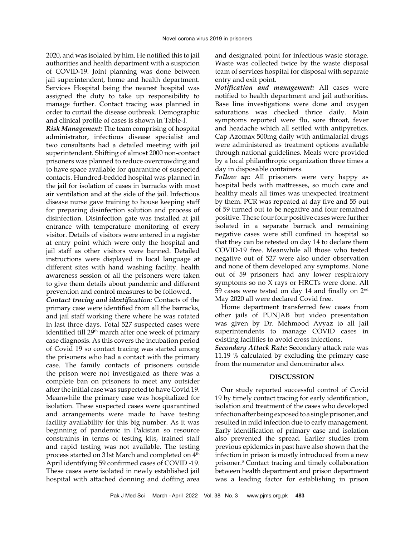2020, and was isolated by him. He notified this to jail authorities and health department with a suspicion of COVID-19. Joint planning was done between jail superintendent, home and health department. Services Hospital being the nearest hospital was assigned the duty to take up responsibility to manage further. Contact tracing was planned in order to curtail the disease outbreak. Demographic and clinical profile of cases is shown in Table-I.

*Risk Management:* The team comprising of hospital administrator, infectious disease specialist and two consultants had a detailed meeting with jail superintendent. Shifting of almost 2000 non-contact prisoners was planned to reduce overcrowding and to have space available for quarantine of suspected contacts. Hundred-bedded hospital was planned in the jail for isolation of cases in barracks with most air ventilation and at the side of the jail. Infectious disease nurse gave training to house keeping staff for preparing disinfection solution and process of disinfection. Disinfection gate was installed at jail entrance with temperature monitoring of every visitor. Details of visitors were entered in a register at entry point which were only the hospital and jail staff as other visitors were banned. Detailed instructions were displayed in local language at different sites with hand washing facility. health awareness session of all the prisoners were taken to give them details about pandemic and different prevention and control measures to be followed.

*Contact tracing and identification:* Contacts of the primary case were identified from all the barracks, and jail staff working there where he was rotated in last three days. Total 527 suspected cases were identified till 29<sup>th</sup> march after one week of primary case diagnosis. As this covers the incubation period of Covid 19 so contact tracing was started among the prisoners who had a contact with the primary case. The family contacts of prisoners outside the prison were not investigated as there was a complete ban on prisoners to meet any outsider after the initial case was suspected to have Covid 19. Meanwhile the primary case was hospitalized for isolation. These suspected cases were quarantined and arrangements were made to have testing facility availability for this big number. As it was beginning of pandemic in Pakistan so resource constraints in terms of testing kits, trained staff and rapid testing was not available. The testing process started on 31st March and completed on 4<sup>th</sup> April identifying 59 confirmed cases of COVID -19. These cases were isolated in newly established jail hospital with attached donning and doffing area

and designated point for infectious waste storage. Waste was collected twice by the waste disposal team of services hospital for disposal with separate entry and exit point.

*Notification and management:* All cases were notified to health department and jail authorities. Base line investigations were done and oxygen saturations was checked thrice daily. Main symptoms reported were flu, sore throat, fever and headache which all settled with antipyretics. Cap Azomax 500mg daily with antimalarial drugs were administered as treatment options available through national guidelines. Meals were provided by a local philanthropic organization three times a day in disposable containers.

*Follow up:* All prisoners were very happy as hospital beds with mattresses, so much care and healthy meals all times was unexpected treatment by them. PCR was repeated at day five and 55 out of 59 turned out to be negative and four remained positive. These four four positive cases were further isolated in a separate barrack and remaining negative cases were still confined in hospital so that they can be retested on day 14 to declare them COVID-19 free. Meanwhile all those who tested negative out of 527 were also under observation and none of them developed any symptoms. None out of 59 prisoners had any lower respiratory symptoms so no X rays or HRCTs were done. All 59 cases were tested on day 14 and finally on 2<sup>nd</sup> May 2020 all were declared Covid free.

Home department transferred few cases from other jails of PUNJAB but video presentation was given by Dr. Mehmood Ayyaz to all Jail superintendents to manage COVID cases in existing facilities to avoid cross infections.

*Secondary Attack Rate:* Secondary attack rate was 11.19 % calculated by excluding the primary case from the numerator and denominator also.

## **DISCUSSION**

Our study reported successful control of Covid 19 by timely contact tracing for early identification, isolation and treatment of the cases who developed infection after being exposed to a single prisoner, and resulted in mild infection due to early management. Early identification of primary case and isolation also prevented the spread. Earlier studies from previous epidemics in past have also shown that the infection in prison is mostly introduced from a new prisoner.3 Contact tracing and timely collaboration between health department and prison department was a leading factor for establishing in prison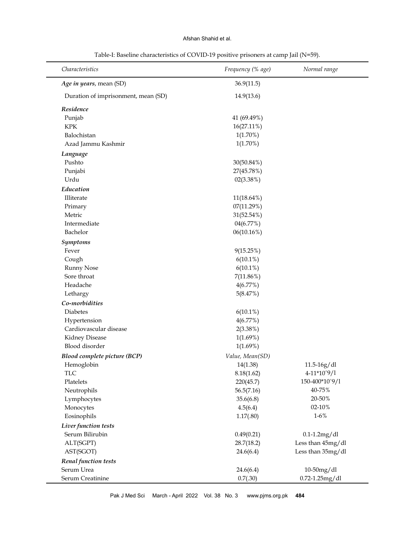## Afshan Shahid et al.

| Characteristics                     | Frequency (% age) | Normal range      |
|-------------------------------------|-------------------|-------------------|
| Age in years, mean (SD)             | 36.9(11.5)        |                   |
| Duration of imprisonment, mean (SD) | 14.9(13.6)        |                   |
| Residence                           |                   |                   |
| Punjab                              | 41 (69.49%)       |                   |
| <b>KPK</b>                          | 16(27.11%)        |                   |
| Balochistan                         | $1(1.70\%)$       |                   |
| Azad Jammu Kashmir                  | $1(1.70\%)$       |                   |
| Language                            |                   |                   |
| Pushto                              | 30(50.84%)        |                   |
| Punjabi                             | 27(45.78%)        |                   |
| Urdu                                | 02(3.38%)         |                   |
| Education                           |                   |                   |
| Illiterate                          | 11(18.64%)        |                   |
| Primary                             | 07(11.29%)        |                   |
| Metric                              | 31(52.54%)        |                   |
| Intermediate                        | 04(6.77%)         |                   |
| Bachelor                            | 06(10.16%)        |                   |
| <b>Symptoms</b>                     |                   |                   |
| Fever                               | 9(15.25%)         |                   |
| Cough                               | $6(10.1\%)$       |                   |
| <b>Runny Nose</b>                   | $6(10.1\%)$       |                   |
| Sore throat                         | 7(11.86%)         |                   |
| Headache                            | 4(6.77%)          |                   |
| Lethargy                            | 5(8.47%)          |                   |
| Co-morbidities                      |                   |                   |
| Diabetes                            | $6(10.1\%)$       |                   |
| Hypertension                        | 4(6.77%)          |                   |
| Cardiovascular disease              | 2(3.38%)          |                   |
| Kidney Disease                      | 1(1.69%)          |                   |
| Blood disorder                      | 1(1.69%)          |                   |
| <b>Blood complete picture (BCP)</b> | Value, Mean(SD)   |                   |
| Hemoglobin                          | 14(1.38)          | 11.5-16g/dl       |
| <b>TLC</b>                          | 8.18(1.62)        | 4-11*10^9/1       |
| Platelets                           | 220(45.7)         | 150-400*10^9/1    |
| Neutrophils                         | 56.5(7.16)        | 40-75%            |
| Lymphocytes                         | 35.6(6.8)         | 20-50%            |
| Monocytes                           | 4.5(6.4)          | 02-10%            |
| Eosinophils                         | 1.17(.80)         | $1 - 6\%$         |
| Liver function tests                |                   |                   |
| Serum Bilirubin                     | 0.49(0.21)        | $0.1-1.2mg/dl$    |
| ALT(SGPT)                           | 28.7(18.2)        | Less than 45mg/dl |
| AST(SGOT)                           | 24.6(6.4)         | Less than 35mg/dl |
| Renal function tests                |                   |                   |
| Serum Urea                          | 24.6(6.4)         | 10-50mg/dl        |
| Serum Creatinine                    | 0.7(.30)          | 0.72-1.25mg/dl    |

Table-I: Baseline characteristics of COVID-19 positive prisoners at camp Jail (N=59).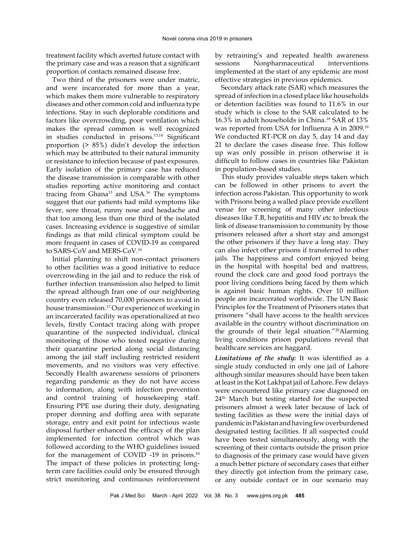treatment facility which averted future contact with the primary case and was a reason that a significant proportion of contacts remained disease free.

Two third of the prisoners were under matric, and were incarcerated for more than a year, which makes them more vulnerable to respiratory diseases and other common cold and influenza type infections. Stay in such deplorable conditions and factors like overcrowding, poor ventilation which makes the spread common is well recognized in studies conducted in prisons.13,14 Significant proportion (> 85%) didn't develop the infection which may be attributed to their natural immunity or resistance to infection because of past exposures. Early isolation of the primary case has reduced the disease transmission is comparable with other studies reporting active monitoring and contact tracing from Ghana<sup>15</sup> and USA.<sup>16</sup> The symptoms suggest that our patients had mild symptoms like fever, sore throat, runny nose and headache and that too among less than one third of the isolated cases. Increasing evidence is suggestive of similar findings as that mild clinical symptom could be more frequent in cases of COVID-19 as compared to SARS-CoV and MERS-CoV.16

Initial planning to shift non-contact prisoners to other facilities was a good initiative to reduce overcrowding in the jail and to reduce the risk of further infection transmission also helped to limit the spread although Iran one of our neighboring country even released 70,000 prisoners to avoid in house transmission.17 Our experience of working in an incarcerated facility was operationalized at two levels, firstly Contact tracing along with proper quarantine of the suspected individual, clinical monitoring of those who tested negative during their quarantine period along social distancing among the jail staff including restricted resident movements, and no visitors was very effective. Secondly Health awareness sessions of prisoners regarding pandemic as they do not have access to information, along with infection prevention and control training of housekeeping staff. Ensuring PPE use during their duty, designating proper donning and doffing area with separate storage, entry and exit point for infectious waste disposal further enhanced the efficacy of the plan implemented for infection control which was followed according to the WHO guidelines issued for the management of COVID -19 in prisons.10 The impact of these policies in protecting longterm care facilities could only be ensured through strict monitoring and continuous reinforcement

by retraining's and repeated health awareness sessions Nonpharmaceutical interventions implemented at the start of any epidemic are most effective strategies in previous epidemics.

Secondary attack rate (SAR) which measures the spread of infection in a closed place like households or detention facilities was found to 11.6% in our study which is close to the SAR calculated to be 16.3% in adult households in China.<sup>18</sup> SAR of 13% was reported from USA for Influenza A in 2009.<sup>19</sup> We conducted RT-PCR on day 5, day 14 and day 21 to declare the cases disease free. This follow up was only possible in prison otherwise it is difficult to follow cases in countries like Pakistan in population-based studies.

This study provides valuable steps taken which can be followed in other prisons to avert the infection across Pakistan. This opportunity to work with Prisons being a walled place provide excellent venue for screening of many other infectious diseases like T.B, hepatitis and HIV etc to break the link of disease transmission to community by those prisoners released after a short stay and amongst the other prisoners if they have a long stay. They can also infect other prisons if transferred to other jails. The happiness and comfort enjoyed being in the hospital with hospital bed and mattress, round the clock care and good food portrays the poor living conditions being faced by them which is against basic human rights. Over 10 million people are incarcerated worldwide. The UN Basic Principles for the Treatment of Prisoners states that prisoners "shall have access to the health services available in the country without discrimination on the grounds of their legal situation."20Alarming living conditions prison populations reveal that healthcare services are haggard.

*Limitations of the study:* It was identified as a single study conducted in only one jail of Lahore although similar measures should have been taken at least in the Kot Lakhpat jail of Lahore. Few delays were encountered like primary case diagnosed on 24th March but testing started for the suspected prisoners almost a week later because of lack of testing facilities as these were the initial days of pandemic in Pakistan and having few overburdened designated testing facilities. If all suspected could have been tested simultaneously, along with the screening of their contacts outside the prison prior to diagnosis of the primary case would have given a much better picture of secondary cases that either they directly got infection from the primary case, or any outside contact or in our scenario may